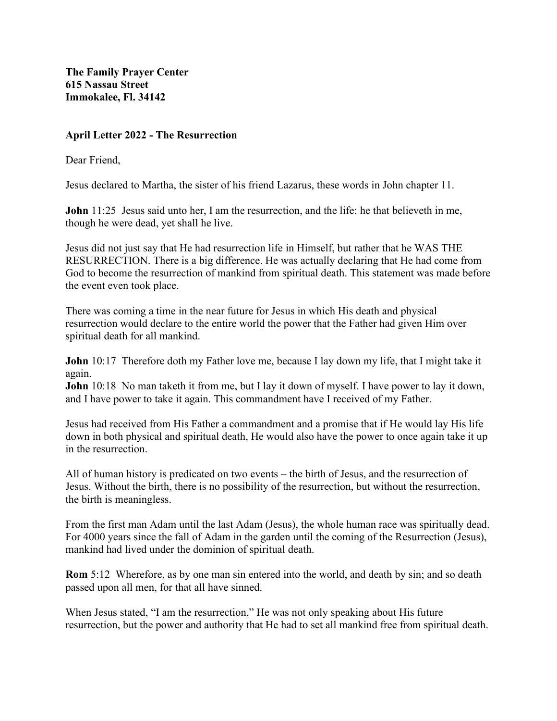**The Family Prayer Center 615 Nassau Street Immokalee, Fl. 34142**

## **April Letter 2022 - The Resurrection**

Dear Friend,

Jesus declared to Martha, the sister of his friend Lazarus, these words in John chapter 11.

**John** 11:25 Jesus said unto her, I am the resurrection, and the life: he that believeth in me, though he were dead, yet shall he live.

Jesus did not just say that He had resurrection life in Himself, but rather that he WAS THE RESURRECTION. There is a big difference. He was actually declaring that He had come from God to become the resurrection of mankind from spiritual death. This statement was made before the event even took place.

There was coming a time in the near future for Jesus in which His death and physical resurrection would declare to the entire world the power that the Father had given Him over spiritual death for all mankind.

**John** 10:17 Therefore doth my Father love me, because I lay down my life, that I might take it again.

**John** 10:18 No man taketh it from me, but I lay it down of myself. I have power to lay it down, and I have power to take it again. This commandment have I received of my Father.

Jesus had received from His Father a commandment and a promise that if He would lay His life down in both physical and spiritual death, He would also have the power to once again take it up in the resurrection.

All of human history is predicated on two events – the birth of Jesus, and the resurrection of Jesus. Without the birth, there is no possibility of the resurrection, but without the resurrection, the birth is meaningless.

From the first man Adam until the last Adam (Jesus), the whole human race was spiritually dead. For 4000 years since the fall of Adam in the garden until the coming of the Resurrection (Jesus), mankind had lived under the dominion of spiritual death.

**Rom** 5:12 Wherefore, as by one man sin entered into the world, and death by sin; and so death passed upon all men, for that all have sinned.

When Jesus stated, "I am the resurrection," He was not only speaking about His future resurrection, but the power and authority that He had to set all mankind free from spiritual death.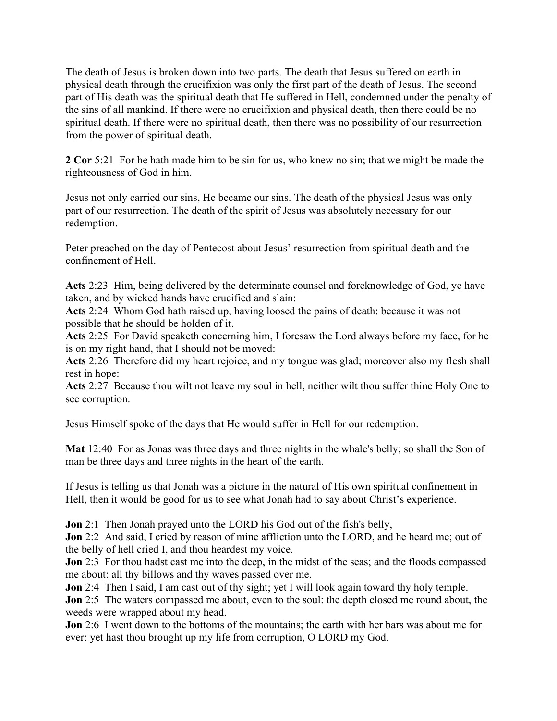The death of Jesus is broken down into two parts. The death that Jesus suffered on earth in physical death through the crucifixion was only the first part of the death of Jesus. The second part of His death was the spiritual death that He suffered in Hell, condemned under the penalty of the sins of all mankind. If there were no crucifixion and physical death, then there could be no spiritual death. If there were no spiritual death, then there was no possibility of our resurrection from the power of spiritual death.

**2 Cor** 5:21 For he hath made him to be sin for us, who knew no sin; that we might be made the righteousness of God in him.

Jesus not only carried our sins, He became our sins. The death of the physical Jesus was only part of our resurrection. The death of the spirit of Jesus was absolutely necessary for our redemption.

Peter preached on the day of Pentecost about Jesus' resurrection from spiritual death and the confinement of Hell.

**Acts** 2:23 Him, being delivered by the determinate counsel and foreknowledge of God, ye have taken, and by wicked hands have crucified and slain:

**Acts** 2:24 Whom God hath raised up, having loosed the pains of death: because it was not possible that he should be holden of it.

**Acts** 2:25 For David speaketh concerning him, I foresaw the Lord always before my face, for he is on my right hand, that I should not be moved:

**Acts** 2:26 Therefore did my heart rejoice, and my tongue was glad; moreover also my flesh shall rest in hope:

**Acts** 2:27 Because thou wilt not leave my soul in hell, neither wilt thou suffer thine Holy One to see corruption.

Jesus Himself spoke of the days that He would suffer in Hell for our redemption.

**Mat** 12:40 For as Jonas was three days and three nights in the whale's belly; so shall the Son of man be three days and three nights in the heart of the earth.

If Jesus is telling us that Jonah was a picture in the natural of His own spiritual confinement in Hell, then it would be good for us to see what Jonah had to say about Christ's experience.

**Jon** 2:1 Then Jonah prayed unto the LORD his God out of the fish's belly,

**Jon** 2:2 And said, I cried by reason of mine affliction unto the LORD, and he heard me; out of the belly of hell cried I, and thou heardest my voice.

**Jon** 2:3 For thou hadst cast me into the deep, in the midst of the seas; and the floods compassed me about: all thy billows and thy waves passed over me.

**Jon** 2:4 Then I said, I am cast out of thy sight; yet I will look again toward thy holy temple.

**Jon** 2:5 The waters compassed me about, even to the soul: the depth closed me round about, the weeds were wrapped about my head.

**Jon** 2:6 I went down to the bottoms of the mountains; the earth with her bars was about me for ever: yet hast thou brought up my life from corruption, O LORD my God.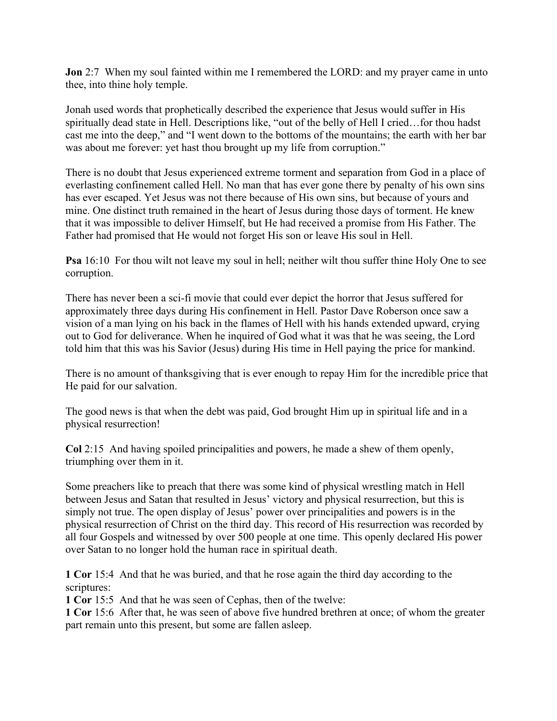**Jon** 2:7 When my soul fainted within me I remembered the LORD: and my prayer came in unto thee, into thine holy temple.

Jonah used words that prophetically described the experience that Jesus would suffer in His spiritually dead state in Hell. Descriptions like, "out of the belly of Hell I cried…for thou hadst cast me into the deep," and "I went down to the bottoms of the mountains; the earth with her bar was about me forever: yet hast thou brought up my life from corruption."

There is no doubt that Jesus experienced extreme torment and separation from God in a place of everlasting confinement called Hell. No man that has ever gone there by penalty of his own sins has ever escaped. Yet Jesus was not there because of His own sins, but because of yours and mine. One distinct truth remained in the heart of Jesus during those days of torment. He knew that it was impossible to deliver Himself, but He had received a promise from His Father. The Father had promised that He would not forget His son or leave His soul in Hell.

**Psa** 16:10 For thou wilt not leave my soul in hell; neither wilt thou suffer thine Holy One to see corruption.

There has never been a sci-fi movie that could ever depict the horror that Jesus suffered for approximately three days during His confinement in Hell. Pastor Dave Roberson once saw a vision of a man lying on his back in the flames of Hell with his hands extended upward, crying out to God for deliverance. When he inquired of God what it was that he was seeing, the Lord told him that this was his Savior (Jesus) during His time in Hell paying the price for mankind.

There is no amount of thanksgiving that is ever enough to repay Him for the incredible price that He paid for our salvation.

The good news is that when the debt was paid, God brought Him up in spiritual life and in a physical resurrection!

**Col** 2:15 And having spoiled principalities and powers, he made a shew of them openly, triumphing over them in it.

Some preachers like to preach that there was some kind of physical wrestling match in Hell between Jesus and Satan that resulted in Jesus' victory and physical resurrection, but this is simply not true. The open display of Jesus' power over principalities and powers is in the physical resurrection of Christ on the third day. This record of His resurrection was recorded by all four Gospels and witnessed by over 500 people at one time. This openly declared His power over Satan to no longer hold the human race in spiritual death.

**1 Cor** 15:4 And that he was buried, and that he rose again the third day according to the scriptures:

**1 Cor** 15:5 And that he was seen of Cephas, then of the twelve:

**1 Cor** 15:6 After that, he was seen of above five hundred brethren at once; of whom the greater part remain unto this present, but some are fallen asleep.